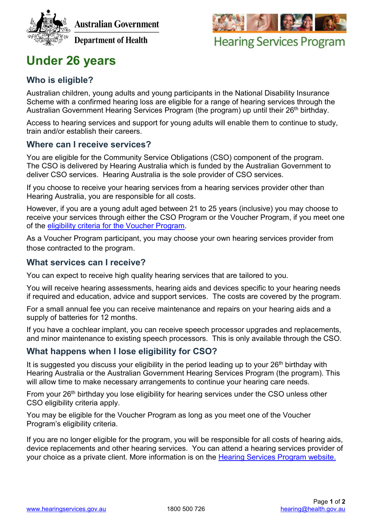



**Hearing Services Program** 

# **Under 26 years**

# **Who is eligible?**

Australian children, young adults and young participants in the National Disability Insurance Scheme with a confirmed hearing loss are eligible for a range of hearing services through the Australian Government Hearing Services Program (the program) up until their 26<sup>th</sup> birthday.

Access to hearing services and support for young adults will enable them to continue to study, train and/or establish their careers.

## **Where can I receive services?**

You are eligible for the Community Service Obligations (CSO) component of the program. The CSO is delivered by Hearing Australia which is funded by the Australian Government to deliver CSO services. Hearing Australia is the sole provider of CSO services.

If you choose to receive your hearing services from a hearing services provider other than Hearing Australia, you are responsible for all costs.

However, if you are a young adult aged between 21 to 25 years (inclusive) you may choose to receive your services through either the CSO Program or the Voucher Program, if you meet one of the [eligibility criteria for the Voucher Program.](http://www.hearingservices.gov.au/wps/portal/hso/site/eligibility/programhelp/eligibility/!ut/p/a1/pZFLb8IwEIT_Cj3kaPmRlzlaFGiggKq-klyQE5zEbWKH1EXk3-NIPXApFHVvK41mZ-eDKYxhqvhBltxIrXg97GmwXT75AY4QWdK3zQwxtn59XMw8ghiG7zCFaa5MayqYVF96lGtlhDIOar-zWuYOqnQjHFTobiQOouu1slvb6bLjTSXq1kGilqXMZC1NP5i1udzBxHP93RiTDAgvLICHMAfUpwLsCC7GoRsEbhDadIlNh34Zhv4U_oIE-T-CCycSmyHcEnrPHsYejjbTaIrYZP6ymNOIzEMMn2986opheLPh4loNtkbSrSar0tpyUwGpCg3jM0YwPmdk5fJjv0-ZBT_APhoY_5982zTU7cFnsV4DntH-6Cd3JwKtaBE!/dl5/d5/L2dBISEvZ0FBIS9nQSEh/)

As a Voucher Program participant, you may choose your own hearing services provider from those contracted to the program.

#### **What services can I receive?**

You can expect to receive high quality hearing services that are tailored to you.

You will receive hearing assessments, hearing aids and devices specific to your hearing needs if required and education, advice and support services. The costs are covered by the program.

For a small annual fee you can receive maintenance and repairs on your hearing aids and a supply of batteries for 12 months.

If you have a cochlear implant, you can receive speech processor upgrades and replacements, and minor maintenance to existing speech processors. This is only available through the CSO.

## **What happens when I lose eligibility for CSO?**

It is suggested you discuss your eligibility in the period leading up to your  $26<sup>th</sup>$  birthday with Hearing Australia or the Australian Government Hearing Services Program (the program). This will allow time to make necessary arrangements to continue your hearing care needs.

From your 26<sup>th</sup> birthday you lose eligibility for hearing services under the CSO unless other CSO eligibility criteria apply.

You may be eligible for the Voucher Program as long as you meet one of the Voucher Program's eligibility criteria.

If you are no longer eligible for the program, you will be responsible for all costs of hearing aids, device replacements and other hearing services. You can attend a hearing services provider of your choice as a private client. More information is on the [Hearing Services Program](http://www.hearingservices.gov.au/wps/portal/hso/site/locateprovider/) website.